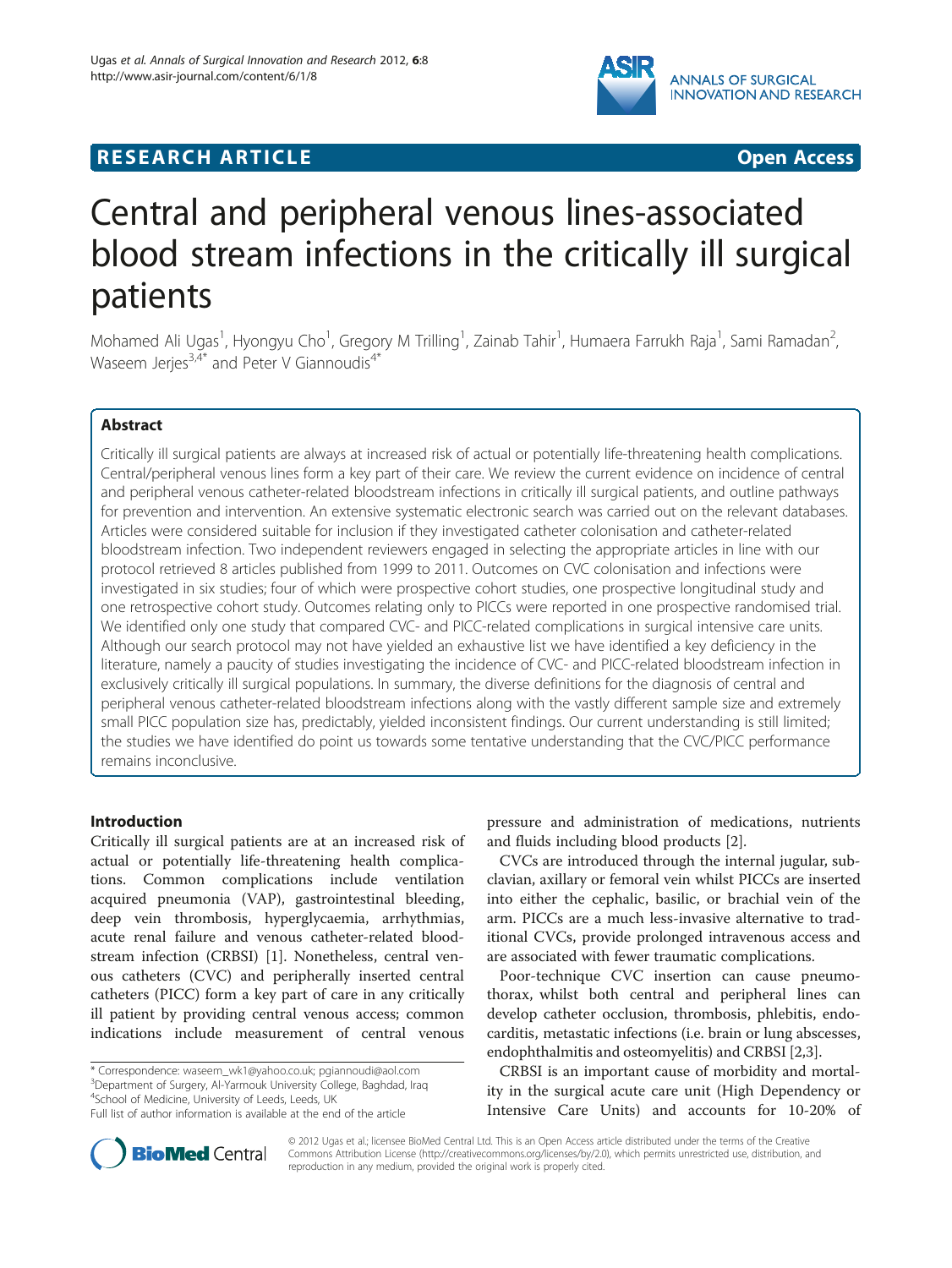

## **RESEARCH ARTICLE Example 2014 12:30 The Contract of Contract Contract Contract Contract Contract Contract Contract Contract Contract Contract Contract Contract Contract Contract Contract Contract Contract Contract Contr**

# Central and peripheral venous lines-associated blood stream infections in the critically ill surgical patients

Mohamed Ali Ugas<sup>1</sup>, Hyongyu Cho<sup>1</sup>, Gregory M Trilling<sup>1</sup>, Zainab Tahir<sup>1</sup>, Humaera Farrukh Raja<sup>1</sup>, Sami Ramadan<sup>2</sup> .<br>, Waseem Jerjes<sup>3,4\*</sup> and Peter V Giannoudis<sup>4\*</sup>

## Abstract

Critically ill surgical patients are always at increased risk of actual or potentially life-threatening health complications. Central/peripheral venous lines form a key part of their care. We review the current evidence on incidence of central and peripheral venous catheter-related bloodstream infections in critically ill surgical patients, and outline pathways for prevention and intervention. An extensive systematic electronic search was carried out on the relevant databases. Articles were considered suitable for inclusion if they investigated catheter colonisation and catheter-related bloodstream infection. Two independent reviewers engaged in selecting the appropriate articles in line with our protocol retrieved 8 articles published from 1999 to 2011. Outcomes on CVC colonisation and infections were investigated in six studies; four of which were prospective cohort studies, one prospective longitudinal study and one retrospective cohort study. Outcomes relating only to PICCs were reported in one prospective randomised trial. We identified only one study that compared CVC- and PICC-related complications in surgical intensive care units. Although our search protocol may not have yielded an exhaustive list we have identified a key deficiency in the literature, namely a paucity of studies investigating the incidence of CVC- and PICC-related bloodstream infection in exclusively critically ill surgical populations. In summary, the diverse definitions for the diagnosis of central and peripheral venous catheter-related bloodstream infections along with the vastly different sample size and extremely small PICC population size has, predictably, yielded inconsistent findings. Our current understanding is still limited; the studies we have identified do point us towards some tentative understanding that the CVC/PICC performance remains inconclusive.

## Introduction

Critically ill surgical patients are at an increased risk of actual or potentially life-threatening health complications. Common complications include ventilation acquired pneumonia (VAP), gastrointestinal bleeding, deep vein thrombosis, hyperglycaemia, arrhythmias, acute renal failure and venous catheter-related bloodstream infection (CRBSI) [\[1](#page-6-0)]. Nonetheless, central venous catheters (CVC) and peripherally inserted central catheters (PICC) form a key part of care in any critically ill patient by providing central venous access; common indications include measurement of central venous

\* Correspondence: [waseem\\_wk1@yahoo.co.uk;](mailto:waseem_wk1@yahoo.co.uk) [pgiannoudi@aol.com](mailto:pgiannoudi@aol.com) <sup>3</sup> <sup>3</sup>Department of Surgery, Al-Yarmouk University College, Baghdad, Iraq 4 School of Medicine, University of Leeds, Leeds, UK

pressure and administration of medications, nutrients and fluids including blood products [\[2](#page-6-0)].

CVCs are introduced through the internal jugular, subclavian, axillary or femoral vein whilst PICCs are inserted into either the cephalic, basilic, or brachial vein of the arm. PICCs are a much less-invasive alternative to traditional CVCs, provide prolonged intravenous access and are associated with fewer traumatic complications.

Poor-technique CVC insertion can cause pneumothorax, whilst both central and peripheral lines can develop catheter occlusion, thrombosis, phlebitis, endocarditis, metastatic infections (i.e. brain or lung abscesses, endophthalmitis and osteomyelitis) and CRBSI [\[2,3](#page-6-0)].

CRBSI is an important cause of morbidity and mortality in the surgical acute care unit (High Dependency or Intensive Care Units) and accounts for 10-20% of



© 2012 Ugas et al.; licensee BioMed Central Ltd. This is an Open Access article distributed under the terms of the Creative Commons Attribution License [\(http://creativecommons.org/licenses/by/2.0\)](http://creativecommons.org/licenses/by/2.0), which permits unrestricted use, distribution, and reproduction in any medium, provided the original work is properly cited.

Full list of author information is available at the end of the article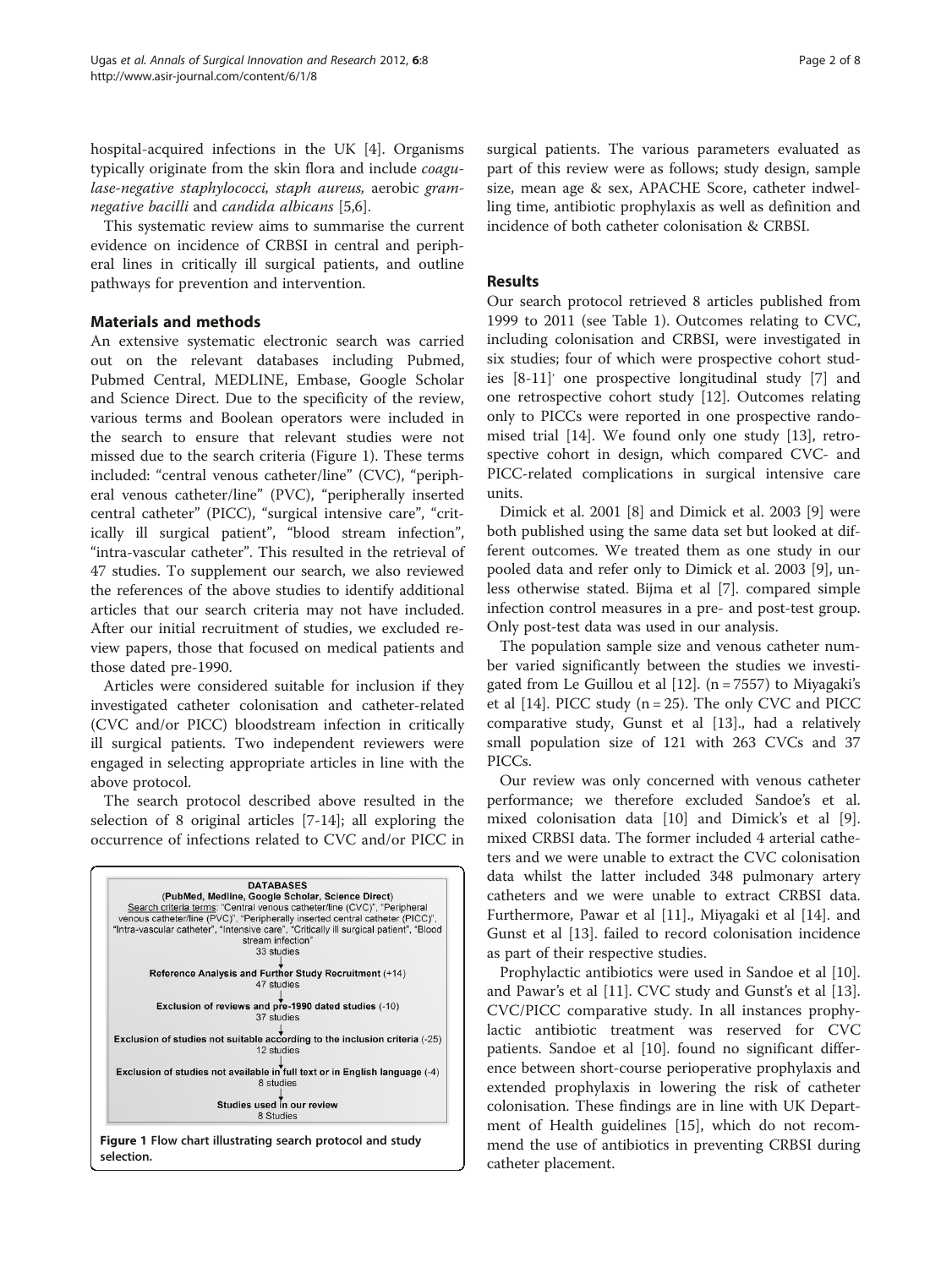hospital-acquired infections in the UK [[4\]](#page-6-0). Organisms typically originate from the skin flora and include coagulase-negative staphylococci, staph aureus, aerobic gramnegative bacilli and candida albicans [[5,6\]](#page-6-0).

This systematic review aims to summarise the current evidence on incidence of CRBSI in central and peripheral lines in critically ill surgical patients, and outline pathways for prevention and intervention.

## Materials and methods

An extensive systematic electronic search was carried out on the relevant databases including Pubmed, Pubmed Central, MEDLINE, Embase, Google Scholar and Science Direct. Due to the specificity of the review, various terms and Boolean operators were included in the search to ensure that relevant studies were not missed due to the search criteria (Figure 1). These terms included: "central venous catheter/line" (CVC), "peripheral venous catheter/line" (PVC), "peripherally inserted central catheter" (PICC), "surgical intensive care", "critically ill surgical patient", "blood stream infection", "intra-vascular catheter". This resulted in the retrieval of 47 studies. To supplement our search, we also reviewed the references of the above studies to identify additional articles that our search criteria may not have included. After our initial recruitment of studies, we excluded review papers, those that focused on medical patients and those dated pre-1990.

Articles were considered suitable for inclusion if they investigated catheter colonisation and catheter-related (CVC and/or PICC) bloodstream infection in critically ill surgical patients. Two independent reviewers were engaged in selecting appropriate articles in line with the above protocol.

The search protocol described above resulted in the selection of 8 original articles [\[7-14](#page-6-0)]; all exploring the occurrence of infections related to CVC and/or PICC in



selection.

surgical patients. The various parameters evaluated as part of this review were as follows; study design, sample size, mean age & sex, APACHE Score, catheter indwelling time, antibiotic prophylaxis as well as definition and incidence of both catheter colonisation & CRBSI.

### Results

Our search protocol retrieved 8 articles published from 1999 to 2011 (see Table [1\)](#page-2-0). Outcomes relating to CVC, including colonisation and CRBSI, were investigated in six studies; four of which were prospective cohort studies  $[8-11]$  $[8-11]$  one prospective longitudinal study  $[7]$  $[7]$  and one retrospective cohort study [[12\]](#page-6-0). Outcomes relating only to PICCs were reported in one prospective randomised trial [\[14](#page-6-0)]. We found only one study [\[13](#page-6-0)], retrospective cohort in design, which compared CVC- and PICC-related complications in surgical intensive care units.

Dimick et al. 2001 [\[8](#page-6-0)] and Dimick et al. 2003 [[9\]](#page-6-0) were both published using the same data set but looked at different outcomes. We treated them as one study in our pooled data and refer only to Dimick et al. 2003 [[9\]](#page-6-0), unless otherwise stated. Bijma et al [\[7](#page-6-0)]. compared simple infection control measures in a pre- and post-test group. Only post-test data was used in our analysis.

The population sample size and venous catheter number varied significantly between the studies we investigated from Le Guillou et al  $[12]$  $[12]$ . (n = 7557) to Miyagaki's et al  $[14]$ . PICC study (n = 25). The only CVC and PICC comparative study, Gunst et al [[13\]](#page-6-0)., had a relatively small population size of 121 with 263 CVCs and 37 PICCs.

Our review was only concerned with venous catheter performance; we therefore excluded Sandoe's et al. mixed colonisation data [[10\]](#page-6-0) and Dimick's et al [\[9](#page-6-0)]. mixed CRBSI data. The former included 4 arterial catheters and we were unable to extract the CVC colonisation data whilst the latter included 348 pulmonary artery catheters and we were unable to extract CRBSI data. Furthermore, Pawar et al [[11\]](#page-6-0)., Miyagaki et al [[14](#page-6-0)]. and Gunst et al [[13\]](#page-6-0). failed to record colonisation incidence as part of their respective studies.

Prophylactic antibiotics were used in Sandoe et al [\[10](#page-6-0)]. and Pawar's et al [[11](#page-6-0)]. CVC study and Gunst's et al [\[13](#page-6-0)]. CVC/PICC comparative study. In all instances prophylactic antibiotic treatment was reserved for CVC patients. Sandoe et al [\[10](#page-6-0)]. found no significant difference between short-course perioperative prophylaxis and extended prophylaxis in lowering the risk of catheter colonisation. These findings are in line with UK Department of Health guidelines [\[15](#page-6-0)], which do not recommend the use of antibiotics in preventing CRBSI during catheter placement.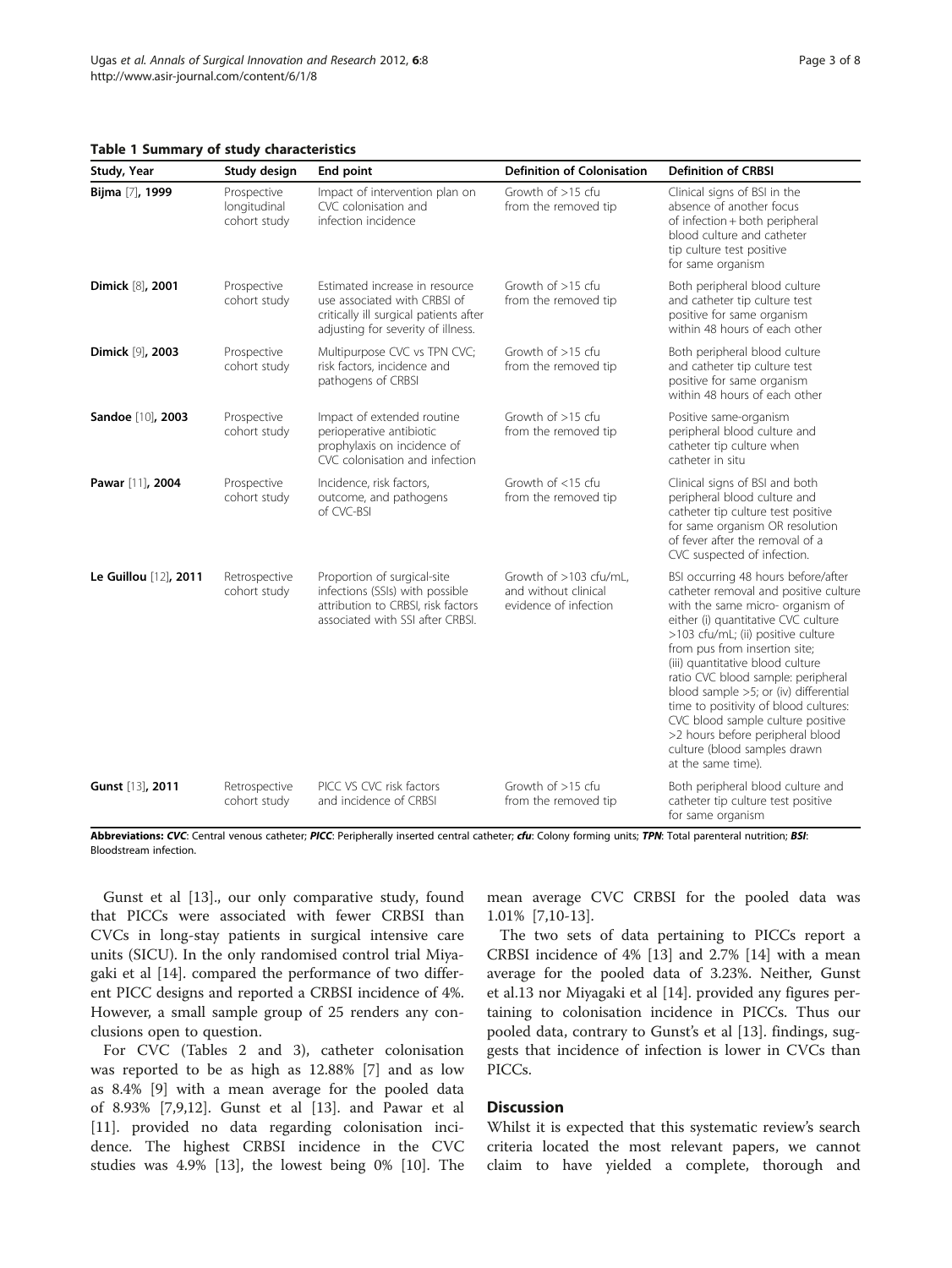<span id="page-2-0"></span>Table 1 Summary of study characteristics

| Study, Year                                            | Study design                                                                                                                                    | End point                                                                                                                                      | <b>Definition of Colonisation</b>                                       | <b>Definition of CRBSI</b>                                                                                                                                                                                                                                                                                                                                                                                                                                                                                                |
|--------------------------------------------------------|-------------------------------------------------------------------------------------------------------------------------------------------------|------------------------------------------------------------------------------------------------------------------------------------------------|-------------------------------------------------------------------------|---------------------------------------------------------------------------------------------------------------------------------------------------------------------------------------------------------------------------------------------------------------------------------------------------------------------------------------------------------------------------------------------------------------------------------------------------------------------------------------------------------------------------|
| Bijma [7], 1999                                        | Prospective<br>longitudinal<br>cohort study                                                                                                     | Impact of intervention plan on<br>CVC colonisation and<br>infection incidence                                                                  | Growth of >15 cfu<br>from the removed tip                               | Clinical signs of BSI in the<br>absence of another focus<br>of infection + both peripheral<br>blood culture and catheter<br>tip culture test positive<br>for same organism                                                                                                                                                                                                                                                                                                                                                |
| Dimick [8], 2001                                       | Prospective<br>cohort study                                                                                                                     | Estimated increase in resource<br>use associated with CRBSI of<br>critically ill surgical patients after<br>adjusting for severity of illness. | Growth of $>15$ cfu<br>from the removed tip                             | Both peripheral blood culture<br>and catheter tip culture test<br>positive for same organism<br>within 48 hours of each other                                                                                                                                                                                                                                                                                                                                                                                             |
| Dimick [9], 2003                                       | Prospective<br>cohort study                                                                                                                     | Multipurpose CVC vs TPN CVC;<br>risk factors, incidence and<br>pathogens of CRBSI                                                              | Growth of $>15$ cfu<br>from the removed tip                             | Both peripheral blood culture<br>and catheter tip culture test<br>positive for same organism<br>within 48 hours of each other                                                                                                                                                                                                                                                                                                                                                                                             |
| Sandoe [10], 2003                                      | Prospective<br>cohort study                                                                                                                     | Impact of extended routine<br>perioperative antibiotic<br>prophylaxis on incidence of<br>CVC colonisation and infection                        | Growth of $>15$ cfu<br>from the removed tip                             | Positive same-organism<br>peripheral blood culture and<br>catheter tip culture when<br>catheter in situ                                                                                                                                                                                                                                                                                                                                                                                                                   |
| Pawar [11], 2004                                       | Growth of $<$ 15 cfu<br>Prospective<br>Incidence, risk factors,<br>from the removed tip<br>cohort study<br>outcome, and pathogens<br>of CVC-BSI |                                                                                                                                                |                                                                         | Clinical signs of BSI and both<br>peripheral blood culture and<br>catheter tip culture test positive<br>for same organism OR resolution<br>of fever after the removal of a<br>CVC suspected of infection.                                                                                                                                                                                                                                                                                                                 |
| Le Guillou [12], 2011<br>Retrospective<br>cohort study |                                                                                                                                                 | Proportion of surgical-site<br>infections (SSIs) with possible<br>attribution to CRBSI, risk factors<br>associated with SSI after CRBSI.       | Growth of >103 cfu/mL.<br>and without clinical<br>evidence of infection | BSI occurring 48 hours before/after<br>catheter removal and positive culture<br>with the same micro- organism of<br>either (i) quantitative CVC culture<br>>103 cfu/mL; (ii) positive culture<br>from pus from insertion site;<br>(iii) quantitative blood culture<br>ratio CVC blood sample: peripheral<br>blood sample >5; or (iv) differential<br>time to positivity of blood cultures:<br>CVC blood sample culture positive<br>>2 hours before peripheral blood<br>culture (blood samples drawn<br>at the same time). |
| Gunst [13], 2011                                       | Retrospective<br>cohort study                                                                                                                   | PICC VS CVC risk factors<br>and incidence of CRBSI                                                                                             | Growth of $>15$ cfu<br>from the removed tip                             | Both peripheral blood culture and<br>catheter tip culture test positive<br>for same organism                                                                                                                                                                                                                                                                                                                                                                                                                              |

Abbreviations: CVC: Central venous catheter; PICC: Peripherally inserted central catheter; cfu: Colony forming units; TPN: Total parenteral nutrition; BSI: Bloodstream infection.

Gunst et al [[13\]](#page-6-0)., our only comparative study, found that PICCs were associated with fewer CRBSI than CVCs in long-stay patients in surgical intensive care units (SICU). In the only randomised control trial Miyagaki et al [\[14](#page-6-0)]. compared the performance of two different PICC designs and reported a CRBSI incidence of 4%. However, a small sample group of 25 renders any conclusions open to question.

For CVC (Tables [2](#page-3-0) and [3\)](#page-3-0), catheter colonisation was reported to be as high as 12.88% [[7\]](#page-6-0) and as low as 8.4% [\[9](#page-6-0)] with a mean average for the pooled data of 8.93% [\[7,9,12\]](#page-6-0). Gunst et al [[13\]](#page-6-0). and Pawar et al [[11\]](#page-6-0). provided no data regarding colonisation incidence. The highest CRBSI incidence in the CVC studies was 4.9% [\[13](#page-6-0)], the lowest being 0% [\[10\]](#page-6-0). The mean average CVC CRBSI for the pooled data was 1.01% [\[7,10](#page-6-0)-[13\]](#page-6-0).

The two sets of data pertaining to PICCs report a CRBSI incidence of 4% [\[13](#page-6-0)] and 2.7% [[14](#page-6-0)] with a mean average for the pooled data of 3.23%. Neither, Gunst et al.13 nor Miyagaki et al [[14\]](#page-6-0). provided any figures pertaining to colonisation incidence in PICCs. Thus our pooled data, contrary to Gunst's et al [[13\]](#page-6-0). findings, suggests that incidence of infection is lower in CVCs than PICCs.

## **Discussion**

Whilst it is expected that this systematic review's search criteria located the most relevant papers, we cannot claim to have yielded a complete, thorough and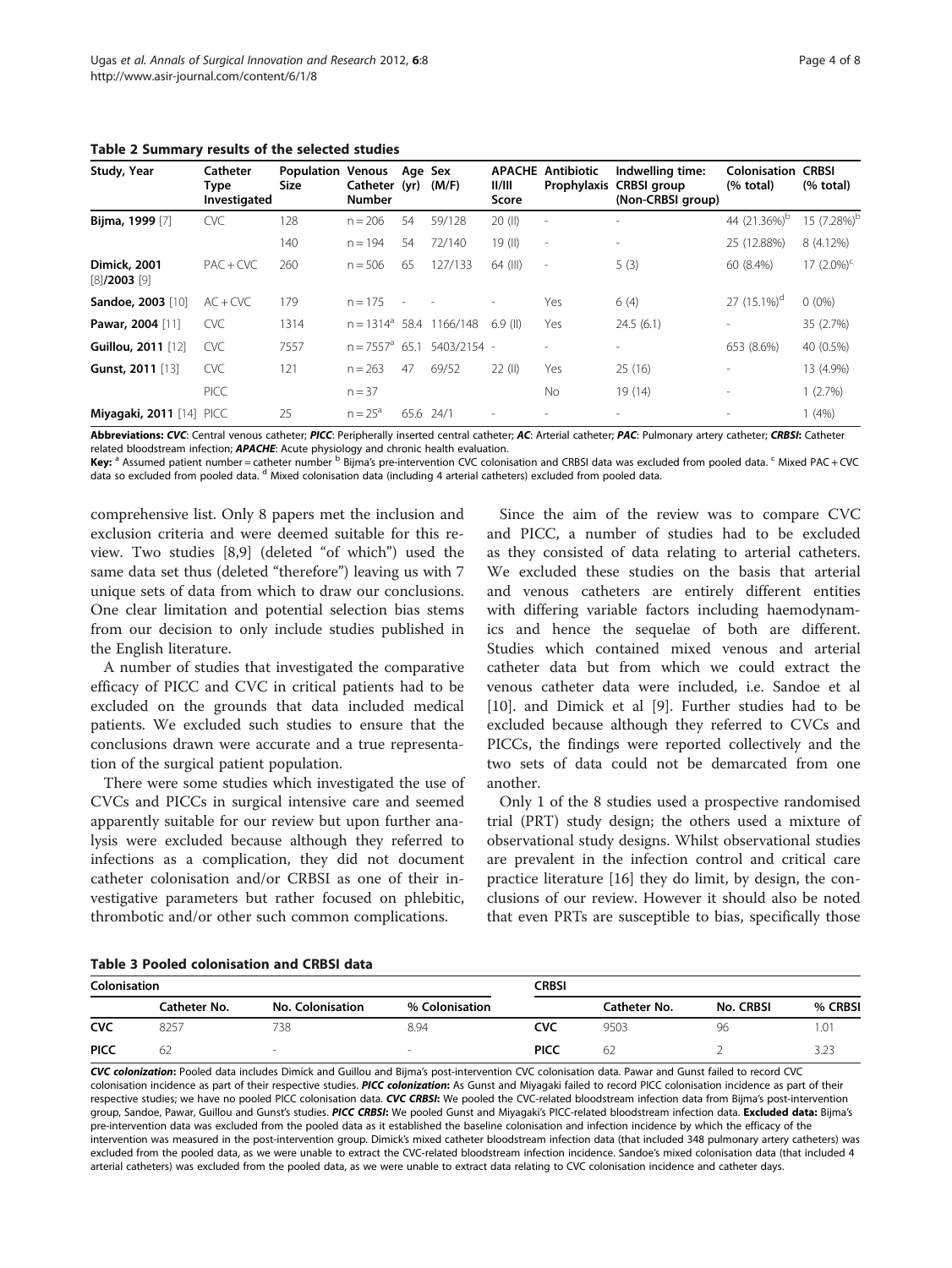<span id="page-3-0"></span>

|  |  | Table 2 Summary results of the selected studies |  |  |  |  |  |
|--|--|-------------------------------------------------|--|--|--|--|--|
|--|--|-------------------------------------------------|--|--|--|--|--|

| Study, Year                              | Catheter<br>Type<br>Investigated | Population<br><b>Size</b> | Venous<br>Catheter (yr)<br><b>Number</b> | Age Sex                  | (M/F)                      | II/III<br>Score | <b>APACHE Antibiotic</b><br><b>Prophylaxis</b> | Indwelling time:<br><b>CRBSI</b> group<br>(Non-CRBSI group) | Colonisation<br>$(% \ total)$ | CRBSI<br>$(% \mathcal{L}_{0})$ (% total) |
|------------------------------------------|----------------------------------|---------------------------|------------------------------------------|--------------------------|----------------------------|-----------------|------------------------------------------------|-------------------------------------------------------------|-------------------------------|------------------------------------------|
| Bijma, 1999 [7]                          | <b>CVC</b>                       | 128                       | $n = 206$                                | 54                       | 59/128                     | $20$ (II)       | $\overline{\phantom{a}}$                       |                                                             | 44 (21.36%) <sup>b</sup>      | 15 (7.28%) <sup>b</sup>                  |
|                                          |                                  | 140                       | $n = 194$                                | 54                       | 72/140                     | $19$ (II)       | $\overline{\phantom{a}}$                       |                                                             | 25 (12.88%)                   | 8 (4.12%)                                |
| <b>Dimick, 2001</b><br>$[8]$ /2003 $[9]$ | $PAC+CVC$                        | 260                       | $n = 506$                                | 65                       | 127/133                    | 64 (III)        | $\overline{\phantom{a}}$                       | 5(3)                                                        | 60 (8.4%)                     | 17 $(2.0\%)^c$                           |
| Sandoe, 2003 [10]                        | $AC+CVC$                         | 179                       | $n = 175$                                | $\overline{\phantom{a}}$ | $\overline{\phantom{a}}$   |                 | Yes                                            | 6(4)                                                        | 27 $(15.1\%)^d$               | $0(0\%)$                                 |
| Pawar, 2004 [11]                         | <b>CVC</b>                       | 1314                      |                                          |                          | $n = 1314^a$ 58.4 1166/148 | $6.9$ (II)      | Yes                                            | 24.5(6.1)                                                   | $\overline{\phantom{a}}$      | 35 (2.7%)                                |
| Guillou, 2011 [12]                       | <b>CVC</b>                       | 7557                      | $n = 7557^a$ 65.1                        |                          | 5403/2154 -                |                 |                                                |                                                             | 653 (8.6%)                    | 40 (0.5%)                                |
| Gunst, 2011 [13]                         | <b>CVC</b>                       | 121                       | $n = 263$                                | 47                       | 69/52                      | $22$ (II)       | Yes                                            | 25(16)                                                      |                               | 13 (4.9%)                                |
|                                          | <b>PICC</b>                      |                           | $n = 37$                                 |                          |                            |                 | <b>No</b>                                      | 19 (14)                                                     | $\sim$                        | 1(2.7%)                                  |
| Miyagaki, 2011 [14] PICC                 |                                  | 25                        | $n = 25^a$                               | 65.6                     | 24/1                       |                 |                                                |                                                             |                               | 1(4%)                                    |

Abbreviations: CVC: Central venous catheter; PICC: Peripherally inserted central catheter; AC: Arterial catheter; PAC: Pulmonary artery catheter; CRBSI: Catheter related bloodstream infection: **APACHE**: Acute physiology and chronic health evaluation.

Key: <sup>a</sup> Assumed patient number = catheter number <sup>b</sup> Bijma's pre-intervention CVC colonisation and CRBSI data was excluded from pooled data. <sup>c</sup> Mixed PAC + CVC data so excluded from pooled data. <sup>d</sup> Mixed colonisation data (including 4 arterial catheters) excluded from pooled data.

comprehensive list. Only 8 papers met the inclusion and exclusion criteria and were deemed suitable for this review. Two studies [[8,9\]](#page-6-0) (deleted "of which") used the same data set thus (deleted "therefore") leaving us with 7 unique sets of data from which to draw our conclusions. One clear limitation and potential selection bias stems from our decision to only include studies published in the English literature.

A number of studies that investigated the comparative efficacy of PICC and CVC in critical patients had to be excluded on the grounds that data included medical patients. We excluded such studies to ensure that the conclusions drawn were accurate and a true representation of the surgical patient population.

There were some studies which investigated the use of CVCs and PICCs in surgical intensive care and seemed apparently suitable for our review but upon further analysis were excluded because although they referred to infections as a complication, they did not document catheter colonisation and/or CRBSI as one of their investigative parameters but rather focused on phlebitic, thrombotic and/or other such common complications.

Since the aim of the review was to compare CVC and PICC, a number of studies had to be excluded as they consisted of data relating to arterial catheters. We excluded these studies on the basis that arterial and venous catheters are entirely different entities with differing variable factors including haemodynamics and hence the sequelae of both are different. Studies which contained mixed venous and arterial catheter data but from which we could extract the venous catheter data were included, i.e. Sandoe et al [[10\]](#page-6-0). and Dimick et al [\[9](#page-6-0)]. Further studies had to be excluded because although they referred to CVCs and PICCs, the findings were reported collectively and the two sets of data could not be demarcated from one another.

Only 1 of the 8 studies used a prospective randomised trial (PRT) study design; the others used a mixture of observational study designs. Whilst observational studies are prevalent in the infection control and critical care practice literature [\[16\]](#page-6-0) they do limit, by design, the conclusions of our review. However it should also be noted that even PRTs are susceptible to bias, specifically those

|  |  |  | <b>Table 3 Pooled colonisation and CRBSI data</b> |  |  |  |
|--|--|--|---------------------------------------------------|--|--|--|
|--|--|--|---------------------------------------------------|--|--|--|

| Colonisation |              |                         |                |             | CRBSI        |           |         |  |  |
|--------------|--------------|-------------------------|----------------|-------------|--------------|-----------|---------|--|--|
|              | Catheter No. | <b>No. Colonisation</b> | % Colonisation |             | Catheter No. | No. CRBSI | % CRBSI |  |  |
| <b>CVC</b>   | 8257         | 738                     | 8.94           | CVC         | 9503         | 96        | 1.01    |  |  |
| <b>PICC</b>  | -62          | $\sim$                  |                | <b>PICC</b> | 62           |           | 3.23    |  |  |

CVC colonization: Pooled data includes Dimick and Guillou and Bijma's post-intervention CVC colonisation data. Pawar and Gunst failed to record CVC colonisation incidence as part of their respective studies. PICC colonization: As Gunst and Miyagaki failed to record PICC colonisation incidence as part of their respective studies; we have no pooled PICC colonisation data. CVC CRBSI: We pooled the CVC-related bloodstream infection data from Bijma's post-intervention group, Sandoe, Pawar, Guillou and Gunst's studies. PICC CRBSI: We pooled Gunst and Miyagaki's PICC-related bloodstream infection data. Excluded data: Bijma's pre-intervention data was excluded from the pooled data as it established the baseline colonisation and infection incidence by which the efficacy of the intervention was measured in the post-intervention group. Dimick's mixed catheter bloodstream infection data (that included 348 pulmonary artery catheters) was excluded from the pooled data, as we were unable to extract the CVC-related bloodstream infection incidence. Sandoe's mixed colonisation data (that included 4 arterial catheters) was excluded from the pooled data, as we were unable to extract data relating to CVC colonisation incidence and catheter days.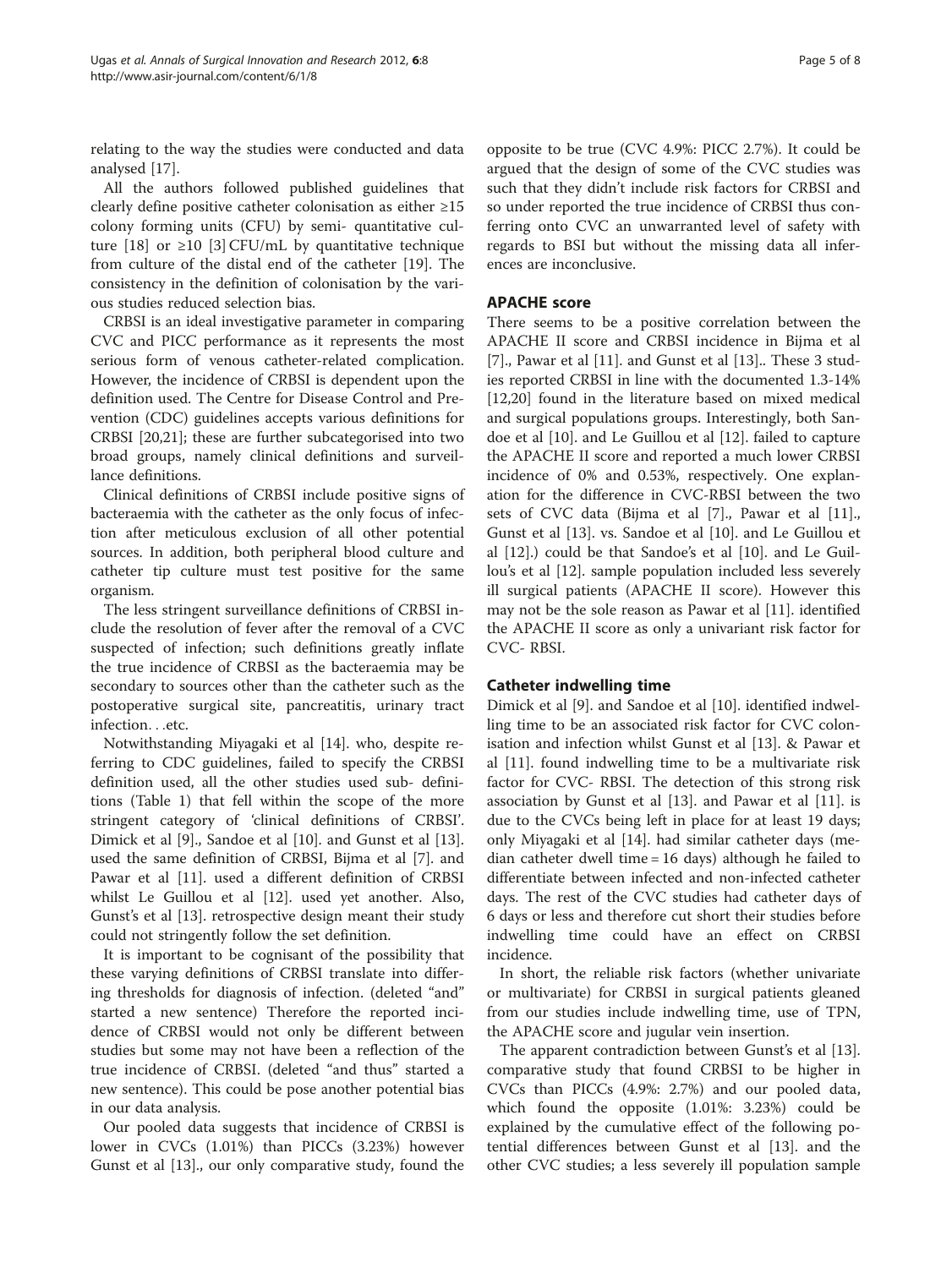relating to the way the studies were conducted and data analysed [\[17](#page-7-0)].

All the authors followed published guidelines that clearly define positive catheter colonisation as either ≥15 colony forming units (CFU) by semi- quantitative cul-ture [[18](#page-7-0)] or  $\geq$ 10 [[3\]](#page-6-0) CFU/mL by quantitative technique from culture of the distal end of the catheter [\[19](#page-7-0)]. The consistency in the definition of colonisation by the various studies reduced selection bias.

CRBSI is an ideal investigative parameter in comparing CVC and PICC performance as it represents the most serious form of venous catheter-related complication. However, the incidence of CRBSI is dependent upon the definition used. The Centre for Disease Control and Prevention (CDC) guidelines accepts various definitions for CRBSI [[20,21\]](#page-7-0); these are further subcategorised into two broad groups, namely clinical definitions and surveillance definitions.

Clinical definitions of CRBSI include positive signs of bacteraemia with the catheter as the only focus of infection after meticulous exclusion of all other potential sources. In addition, both peripheral blood culture and catheter tip culture must test positive for the same organism.

The less stringent surveillance definitions of CRBSI include the resolution of fever after the removal of a CVC suspected of infection; such definitions greatly inflate the true incidence of CRBSI as the bacteraemia may be secondary to sources other than the catheter such as the postoperative surgical site, pancreatitis, urinary tract infection...etc.

Notwithstanding Miyagaki et al [[14](#page-6-0)]. who, despite referring to CDC guidelines, failed to specify the CRBSI definition used, all the other studies used sub- definitions (Table [1\)](#page-2-0) that fell within the scope of the more stringent category of 'clinical definitions of CRBSI'. Dimick et al [[9\]](#page-6-0)., Sandoe et al [\[10](#page-6-0)]. and Gunst et al [\[13](#page-6-0)]. used the same definition of CRBSI, Bijma et al [\[7](#page-6-0)]. and Pawar et al [\[11\]](#page-6-0). used a different definition of CRBSI whilst Le Guillou et al [[12\]](#page-6-0). used yet another. Also, Gunst's et al [\[13\]](#page-6-0). retrospective design meant their study could not stringently follow the set definition.

It is important to be cognisant of the possibility that these varying definitions of CRBSI translate into differing thresholds for diagnosis of infection. (deleted "and" started a new sentence) Therefore the reported incidence of CRBSI would not only be different between studies but some may not have been a reflection of the true incidence of CRBSI. (deleted "and thus" started a new sentence). This could be pose another potential bias in our data analysis.

Our pooled data suggests that incidence of CRBSI is lower in CVCs (1.01%) than PICCs (3.23%) however Gunst et al [[13\]](#page-6-0)., our only comparative study, found the

opposite to be true (CVC 4.9%: PICC 2.7%). It could be argued that the design of some of the CVC studies was such that they didn't include risk factors for CRBSI and so under reported the true incidence of CRBSI thus conferring onto CVC an unwarranted level of safety with regards to BSI but without the missing data all inferences are inconclusive.

### APACHE score

There seems to be a positive correlation between the APACHE II score and CRBSI incidence in Bijma et al [[7\]](#page-6-0)., Pawar et al [[11](#page-6-0)]. and Gunst et al [\[13\]](#page-6-0).. These 3 studies reported CRBSI in line with the documented 1.3-14% [[12,](#page-6-0)[20\]](#page-7-0) found in the literature based on mixed medical and surgical populations groups. Interestingly, both Sandoe et al [\[10](#page-6-0)]. and Le Guillou et al [\[12](#page-6-0)]. failed to capture the APACHE II score and reported a much lower CRBSI incidence of 0% and 0.53%, respectively. One explanation for the difference in CVC-RBSI between the two sets of CVC data (Bijma et al [[7\]](#page-6-0)., Pawar et al [\[11](#page-6-0)]., Gunst et al [\[13](#page-6-0)]. vs. Sandoe et al [[10\]](#page-6-0). and Le Guillou et al [[12\]](#page-6-0).) could be that Sandoe's et al [\[10](#page-6-0)]. and Le Guillou's et al [\[12](#page-6-0)]. sample population included less severely ill surgical patients (APACHE II score). However this may not be the sole reason as Pawar et al [[11\]](#page-6-0). identified the APACHE II score as only a univariant risk factor for CVC- RBSI.

### Catheter indwelling time

Dimick et al [\[9](#page-6-0)]. and Sandoe et al [[10](#page-6-0)]. identified indwelling time to be an associated risk factor for CVC colonisation and infection whilst Gunst et al [[13](#page-6-0)]. & Pawar et al [\[11\]](#page-6-0). found indwelling time to be a multivariate risk factor for CVC- RBSI. The detection of this strong risk association by Gunst et al [\[13\]](#page-6-0). and Pawar et al [\[11](#page-6-0)]. is due to the CVCs being left in place for at least 19 days; only Miyagaki et al [[14\]](#page-6-0). had similar catheter days (median catheter dwell time = 16 days) although he failed to differentiate between infected and non-infected catheter days. The rest of the CVC studies had catheter days of 6 days or less and therefore cut short their studies before indwelling time could have an effect on CRBSI incidence.

In short, the reliable risk factors (whether univariate or multivariate) for CRBSI in surgical patients gleaned from our studies include indwelling time, use of TPN, the APACHE score and jugular vein insertion.

The apparent contradiction between Gunst's et al [\[13](#page-6-0)]. comparative study that found CRBSI to be higher in CVCs than PICCs (4.9%: 2.7%) and our pooled data, which found the opposite (1.01%: 3.23%) could be explained by the cumulative effect of the following potential differences between Gunst et al [\[13](#page-6-0)]. and the other CVC studies; a less severely ill population sample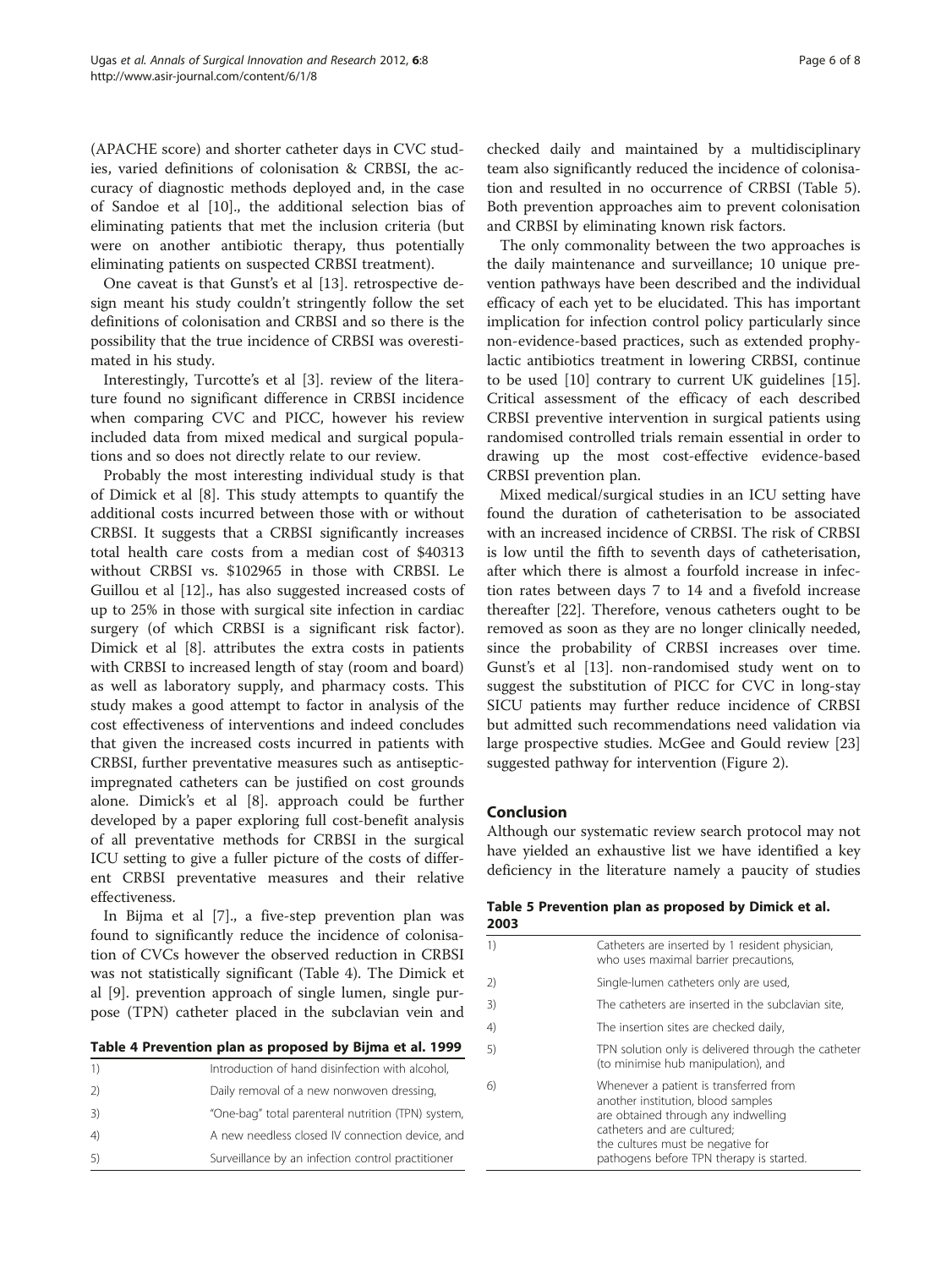(APACHE score) and shorter catheter days in CVC studies, varied definitions of colonisation & CRBSI, the accuracy of diagnostic methods deployed and, in the case of Sandoe et al [\[10](#page-6-0)]., the additional selection bias of eliminating patients that met the inclusion criteria (but were on another antibiotic therapy, thus potentially eliminating patients on suspected CRBSI treatment).

One caveat is that Gunst's et al [[13](#page-6-0)]. retrospective design meant his study couldn't stringently follow the set definitions of colonisation and CRBSI and so there is the possibility that the true incidence of CRBSI was overestimated in his study.

Interestingly, Turcotte's et al [\[3](#page-6-0)]. review of the literature found no significant difference in CRBSI incidence when comparing CVC and PICC, however his review included data from mixed medical and surgical populations and so does not directly relate to our review.

Probably the most interesting individual study is that of Dimick et al [\[8](#page-6-0)]. This study attempts to quantify the additional costs incurred between those with or without CRBSI. It suggests that a CRBSI significantly increases total health care costs from a median cost of \$40313 without CRBSI vs. \$102965 in those with CRBSI. Le Guillou et al [[12\]](#page-6-0)., has also suggested increased costs of up to 25% in those with surgical site infection in cardiac surgery (of which CRBSI is a significant risk factor). Dimick et al [[8\]](#page-6-0). attributes the extra costs in patients with CRBSI to increased length of stay (room and board) as well as laboratory supply, and pharmacy costs. This study makes a good attempt to factor in analysis of the cost effectiveness of interventions and indeed concludes that given the increased costs incurred in patients with CRBSI, further preventative measures such as antisepticimpregnated catheters can be justified on cost grounds alone. Dimick's et al [[8\]](#page-6-0). approach could be further developed by a paper exploring full cost-benefit analysis of all preventative methods for CRBSI in the surgical ICU setting to give a fuller picture of the costs of different CRBSI preventative measures and their relative effectiveness.

In Bijma et al [[7\]](#page-6-0)., a five-step prevention plan was found to significantly reduce the incidence of colonisation of CVCs however the observed reduction in CRBSI was not statistically significant (Table 4). The Dimick et al [[9\]](#page-6-0). prevention approach of single lumen, single purpose (TPN) catheter placed in the subclavian vein and

Table 4 Prevention plan as proposed by Bijma et al. 1999

|     | Introduction of hand disinfection with alcohol,    |
|-----|----------------------------------------------------|
| 2)  | Daily removal of a new nonwoven dressing,          |
| -3) | "One-bag" total parenteral nutrition (TPN) system, |
| 4   | A new needless closed IV connection device, and    |
|     | Surveillance by an infection control practitioner  |

checked daily and maintained by a multidisciplinary team also significantly reduced the incidence of colonisation and resulted in no occurrence of CRBSI (Table 5). Both prevention approaches aim to prevent colonisation and CRBSI by eliminating known risk factors.

The only commonality between the two approaches is the daily maintenance and surveillance; 10 unique prevention pathways have been described and the individual efficacy of each yet to be elucidated. This has important implication for infection control policy particularly since non-evidence-based practices, such as extended prophylactic antibiotics treatment in lowering CRBSI, continue to be used [\[10](#page-6-0)] contrary to current UK guidelines [\[15](#page-6-0)]. Critical assessment of the efficacy of each described CRBSI preventive intervention in surgical patients using randomised controlled trials remain essential in order to drawing up the most cost-effective evidence-based CRBSI prevention plan.

Mixed medical/surgical studies in an ICU setting have found the duration of catheterisation to be associated with an increased incidence of CRBSI. The risk of CRBSI is low until the fifth to seventh days of catheterisation, after which there is almost a fourfold increase in infection rates between days 7 to 14 and a fivefold increase thereafter [\[22\]](#page-7-0). Therefore, venous catheters ought to be removed as soon as they are no longer clinically needed, since the probability of CRBSI increases over time. Gunst's et al [[13](#page-6-0)]. non-randomised study went on to suggest the substitution of PICC for CVC in long-stay SICU patients may further reduce incidence of CRBSI but admitted such recommendations need validation via large prospective studies. McGee and Gould review [[23](#page-7-0)] suggested pathway for intervention (Figure [2](#page-6-0)).

### Conclusion

Although our systematic review search protocol may not have yielded an exhaustive list we have identified a key deficiency in the literature namely a paucity of studies

Table 5 Prevention plan as proposed by Dimick et al. 2003

| 1) | Catheters are inserted by 1 resident physician,<br>who uses maximal barrier precautions,                                                                                                                                            |
|----|-------------------------------------------------------------------------------------------------------------------------------------------------------------------------------------------------------------------------------------|
| 2) | Single-lumen catheters only are used,                                                                                                                                                                                               |
| 3) | The catheters are inserted in the subclavian site,                                                                                                                                                                                  |
| 4) | The insertion sites are checked daily,                                                                                                                                                                                              |
| 5) | TPN solution only is delivered through the catheter<br>(to minimise hub manipulation), and                                                                                                                                          |
| 6) | Whenever a patient is transferred from<br>another institution, blood samples<br>are obtained through any indwelling<br>catheters and are cultured;<br>the cultures must be negative for<br>pathogens before TPN therapy is started. |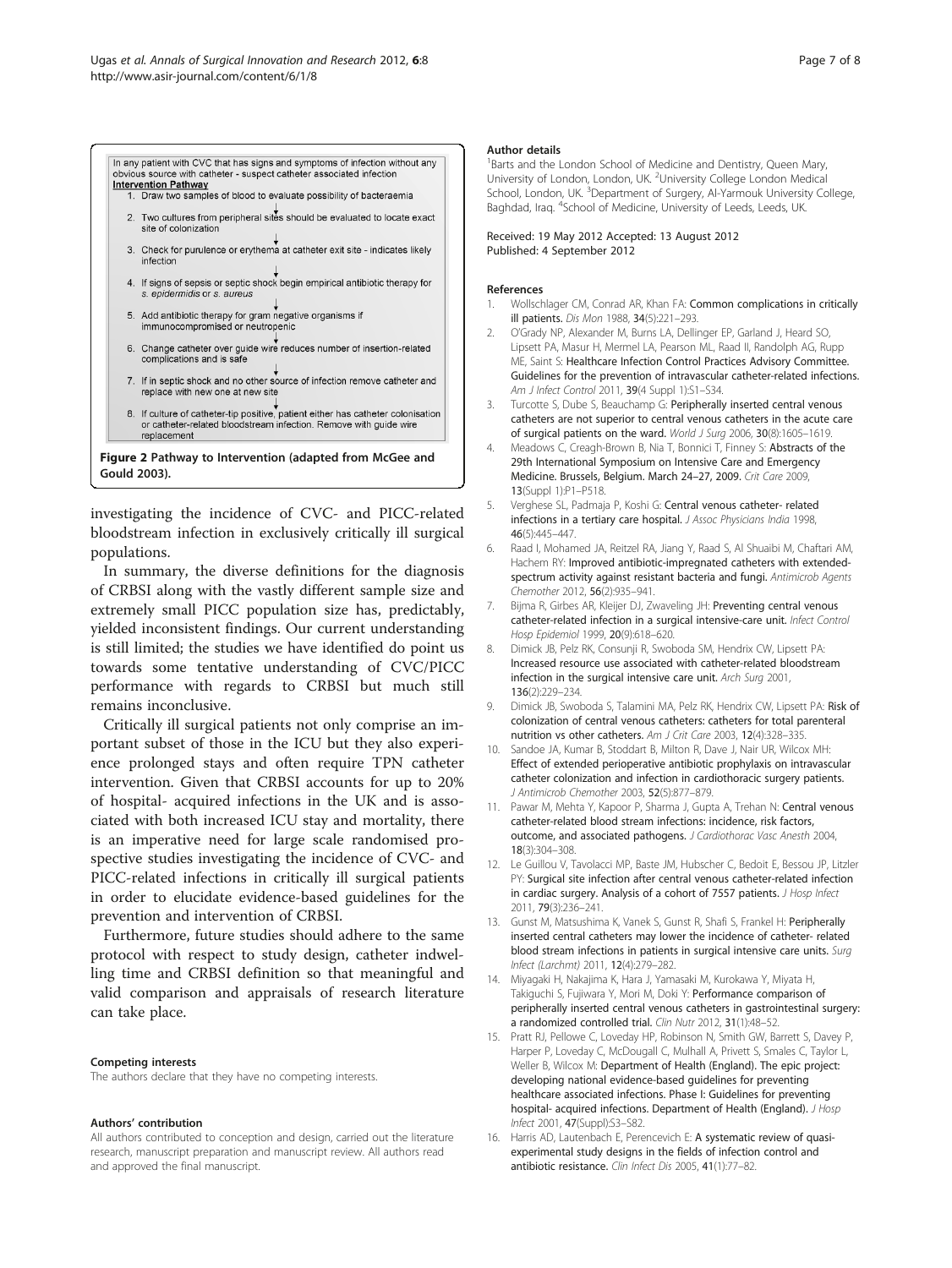<span id="page-6-0"></span>In any patient with CVC that has signs and symptoms of infection without any obvious source with catheter - suspect catheter associated infection **Intervention Pathway** 

- 1. Draw two samples of blood to evaluate possibility of bacteraemia
- 2. Two cultures from peripheral sites should be evaluated to locate exact site of colonization
- 3. Check for purulence or erythema at catheter exit site indicates likely infection
- 4. If signs of sepsis or septic shock begin empirical antibiotic therapy for s. epidermidis or s. aureus
- 5. Add antibiotic therapy for gram negative organisms if immunocompromised or neutropenic
- 6. Change catheter over quide wire reduces number of insertion-related complications and is safe
- 7. If in septic shock and no other source of infection remove catheter and replace with new one at new site
- If culture of catheter-tip positive, patient either has catheter colonisation or catheter-related bloodstream infection. Remove with guide wire replacement

Figure 2 Pathway to Intervention (adapted from McGee and Gould 2003).

investigating the incidence of CVC- and PICC-related bloodstream infection in exclusively critically ill surgical populations.

In summary, the diverse definitions for the diagnosis of CRBSI along with the vastly different sample size and extremely small PICC population size has, predictably, yielded inconsistent findings. Our current understanding is still limited; the studies we have identified do point us towards some tentative understanding of CVC/PICC performance with regards to CRBSI but much still remains inconclusive.

Critically ill surgical patients not only comprise an important subset of those in the ICU but they also experience prolonged stays and often require TPN catheter intervention. Given that CRBSI accounts for up to 20% of hospital- acquired infections in the UK and is associated with both increased ICU stay and mortality, there is an imperative need for large scale randomised prospective studies investigating the incidence of CVC- and PICC-related infections in critically ill surgical patients in order to elucidate evidence-based guidelines for the prevention and intervention of CRBSI.

Furthermore, future studies should adhere to the same protocol with respect to study design, catheter indwelling time and CRBSI definition so that meaningful and valid comparison and appraisals of research literature can take place.

#### Competing interests

The authors declare that they have no competing interests.

#### Authors' contribution

All authors contributed to conception and design, carried out the literature research, manuscript preparation and manuscript review. All authors read and approved the final manuscript.

#### Author details

<sup>1</sup>Barts and the London School of Medicine and Dentistry, Queen Mary University of London, London, UK. <sup>2</sup>University College London Medical School, London, UK.<sup>3</sup> Department of Surgery, Al-Yarmouk University College, Baghdad, Iraq. <sup>4</sup>School of Medicine, University of Leeds, Leeds, UK.

Received: 19 May 2012 Accepted: 13 August 2012 Published: 4 September 2012

#### References

- 1. Wollschlager CM, Conrad AR, Khan FA: Common complications in critically ill patients. Dis Mon 1988, 34(5):221–293.
- 2. O'Grady NP, Alexander M, Burns LA, Dellinger EP, Garland J, Heard SO, Lipsett PA, Masur H, Mermel LA, Pearson ML, Raad II, Randolph AG, Rupp ME, Saint S: Healthcare Infection Control Practices Advisory Committee. Guidelines for the prevention of intravascular catheter-related infections. Am J Infect Control 2011, 39(4 Suppl 1):S1–S34.
- 3. Turcotte S, Dube S, Beauchamp G: Peripherally inserted central venous catheters are not superior to central venous catheters in the acute care of surgical patients on the ward. World J Surg 2006, 30(8):1605–1619.
- 4. Meadows C, Creagh-Brown B, Nia T, Bonnici T, Finney S: Abstracts of the 29th International Symposium on Intensive Care and Emergency Medicine. Brussels, Belgium. March 24–27, 2009. Crit Care 2009, 13(Suppl 1):P1–P518.
- 5. Verghese SL, Padmaja P, Koshi G: Central venous catheter- related infections in a tertiary care hospital. J Assoc Physicians India 1998, 46(5):445–447.
- 6. Raad I, Mohamed JA, Reitzel RA, Jiang Y, Raad S, Al Shuaibi M, Chaftari AM, Hachem RY: Improved antibiotic-impregnated catheters with extendedspectrum activity against resistant bacteria and fungi. Antimicrob Agents Chemother 2012, 56(2):935–941.
- 7. Bijma R, Girbes AR, Kleijer DJ, Zwaveling JH: Preventing central venous catheter-related infection in a surgical intensive-care unit. Infect Control Hosp Epidemiol 1999, 20(9):618–620.
- 8. Dimick JB, Pelz RK, Consunji R, Swoboda SM, Hendrix CW, Lipsett PA: Increased resource use associated with catheter-related bloodstream infection in the surgical intensive care unit. Arch Surg 2001, 136(2):229–234.
- 9. Dimick JB, Swoboda S, Talamini MA, Pelz RK, Hendrix CW, Lipsett PA: Risk of colonization of central venous catheters: catheters for total parenteral nutrition vs other catheters. Am J Crit Care 2003, 12(4):328–335.
- 10. Sandoe JA, Kumar B, Stoddart B, Milton R, Dave J, Nair UR, Wilcox MH: Effect of extended perioperative antibiotic prophylaxis on intravascular catheter colonization and infection in cardiothoracic surgery patients. J Antimicrob Chemother 2003, 52(5):877–879.
- 11. Pawar M, Mehta Y, Kapoor P, Sharma J, Gupta A, Trehan N: Central venous catheter-related blood stream infections: incidence, risk factors, outcome, and associated pathogens. J Cardiothorac Vasc Anesth 2004, 18(3):304–308.
- 12. Le Guillou V, Tavolacci MP, Baste JM, Hubscher C, Bedoit E, Bessou JP, Litzler PY: Surgical site infection after central venous catheter-related infection in cardiac surgery. Analysis of a cohort of 7557 patients. J Hosp Infect 2011, 79(3):236–241.
- 13. Gunst M, Matsushima K, Vanek S, Gunst R, Shafi S, Frankel H: Peripherally inserted central catheters may lower the incidence of catheter- related blood stream infections in patients in surgical intensive care units. Surg Infect (Larchmt) 2011, 12(4):279–282.
- 14. Miyagaki H, Nakajima K, Hara J, Yamasaki M, Kurokawa Y, Miyata H, Takiguchi S, Fujiwara Y, Mori M, Doki Y: Performance comparison of peripherally inserted central venous catheters in gastrointestinal surgery: a randomized controlled trial. Clin Nutr 2012, 31(1):48–52.
- 15. Pratt RJ, Pellowe C, Loveday HP, Robinson N, Smith GW, Barrett S, Davey P, Harper P, Loveday C, McDougall C, Mulhall A, Privett S, Smales C, Taylor L, Weller B, Wilcox M: Department of Health (England). The epic project: developing national evidence-based guidelines for preventing healthcare associated infections. Phase I: Guidelines for preventing hospital- acquired infections. Department of Health (England). J Hosp Infect 2001, 47(Suppl):S3–S82.
- 16. Harris AD, Lautenbach E, Perencevich E: A systematic review of quasiexperimental study designs in the fields of infection control and antibiotic resistance. Clin Infect Dis 2005, 41(1):77–82.